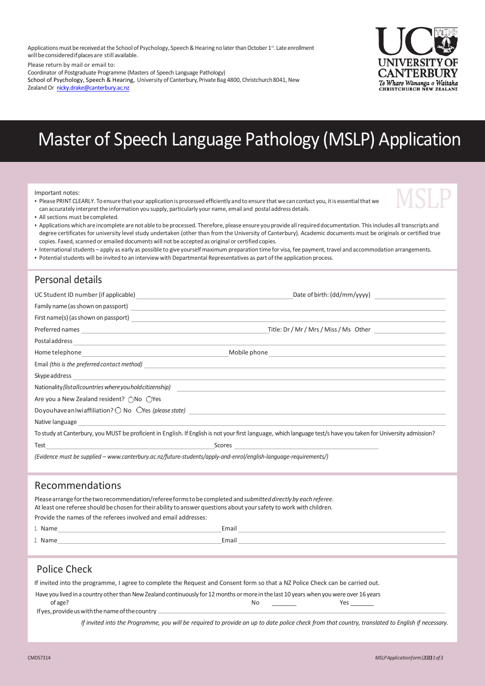Applications must be received at the School of Psychology, Speech & Hearing no later than October 1st. Late enrollment will be considered if places are still available.

Please return by mail or email to:

Coordinator of Postgraduate Programme (Masters of Speech Language Pathology)

School of Psychology, Speech & Hearing, University of Canterbury, Private Bag 4800, Christchurch 8041, New Zealand Or [nicky.drake@canterbury.ac.nz](mailto:nicky.drake@canterbury.ac.nz)



# Master of Speech Language Pathology (MSLP) Application

Important notes:

• Please PRINT CLEARLY. To ensure that your application is processed efficiently and to ensure that we can contact you, it is essential that we can accurately interpretthe information you supply, particularly your name, email and postal address details.



• All sections must becompleted.

• Applications whichare incomplete are not able to beprocessed. Therefore, please ensure youprovide allrequireddocumentation. Thisincludes all transcripts and degree certificates for university level study undertaken (other than from the University of Canterbury). Academic documents must be originals or certified true copies. Faxed, scanned or emailed documents will not be accepted as original or certified copies.

- Internationalstudents apply as early as possible to give yourself maximum preparation time for visa, fee payment, travel and accommodation arrangements.
- Potentialstudents will be invited to an interview with Departmental Representatives as part ofthe application process.

### Personal details

|                                                                                                                                                                                                                                      | Nationality (list all countries where you hold citizenship) example and the set of the set of the set of the set of the set of the set of the set of the set of the set of the set of the set of the set of the set of the set |
|--------------------------------------------------------------------------------------------------------------------------------------------------------------------------------------------------------------------------------------|--------------------------------------------------------------------------------------------------------------------------------------------------------------------------------------------------------------------------------|
| Are you a New Zealand resident? ○No ○Yes                                                                                                                                                                                             |                                                                                                                                                                                                                                |
|                                                                                                                                                                                                                                      |                                                                                                                                                                                                                                |
| Native language <b>contract and the contract of the contract of the contract of the contract of the contract of the contract of the contract of the contract of the contract of the contract of the contract of the contract of </b> |                                                                                                                                                                                                                                |
|                                                                                                                                                                                                                                      | To study at Canterbury, you MUST be proficient in English. If English is not your first language, which language test/s have you taken for University admission?                                                               |
|                                                                                                                                                                                                                                      |                                                                                                                                                                                                                                |
| (Evidence must be supplied - www.canterbury.ac.nz/future-students/apply-and-enrol/english-language-requirements/)                                                                                                                    |                                                                                                                                                                                                                                |
| Recommendations                                                                                                                                                                                                                      |                                                                                                                                                                                                                                |

Pleasearrangeforthetworecommendation/refereeformstobecompleted and*submitteddirectlyby each referee*. Atleast one referee should bechosen fortheir ability toanswer questions about yoursafety to work with children.

Provide the names of the referees involved and email addresses:

| 1. Name | Email |
|---------|-------|
| Name    | Email |

#### Police Check

If invited into the programme, I agree to complete the Request and Consent form so that a NZ Police Check can be carried out.

Have you lived in a country other than New Zealand continuously for 12 months or more in the last 10 years when you were over 16 years

of age? No \_\_\_\_\_\_\_\_ Yes \_\_\_\_\_\_\_\_ If yes, provide us with the name of the country \_

*If invited into the Programme, you will be required to provide an up to date police check from that country, translated to English if necessary.*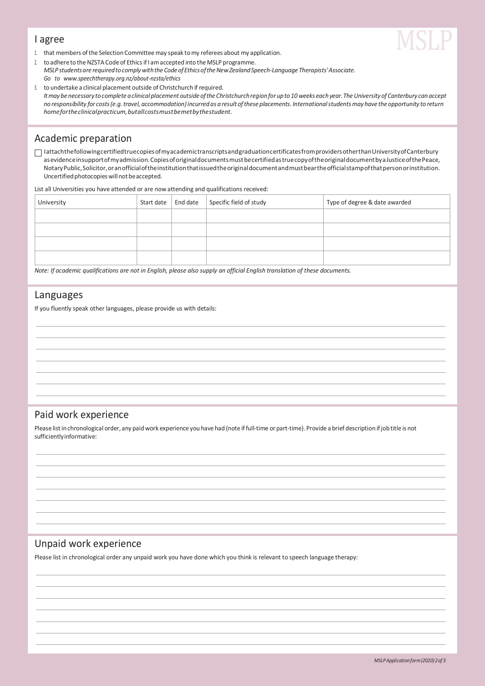#### I agree



- 1. that members ofthe Selection Committee may speak tomy referees about my application.
- 2. to adhere to the NZSTA Code of Ethics if I am accepted into the MSLP programme. *MSLP studentsare requiredtocomplywiththe Codeof EthicsoftheNewZealandSpeech-LanguageTherapists'Associate. Go to [www.speechtherapy.org.nz/about-nzsta/ethics](http://www.speechtherapy.org.nz/about-nzsta/ethics)*
- 3. to undertake a clinical placement outside of Christchurch if required. It may be necessary to complete a clinical placement outside of the Christchurch region for up to 10 weeks each year. The University of Canterbury can accept no responsibility for costs (e.g. travel, accommodation) incurred as a result of these placements. International students may have the opportunity to return *home for the clinical practicum, but allcosts must be met by the student.*

#### Academic preparation

 $\Box$  I attachthefollowingcertifiedtruecopies of myacademictranscriptsand graduationcertificates from providers otherthan University of Canterbury as evidence insupport of my admission. Copies of original documents must be certified as true copy of the original document by a Justice of the Peace, NotaryPublic,Solicitor,oranofficialoftheinstitutionthatissuedtheoriginaldocumentandmustbeartheofficialstampofthatpersonorinstitution. Uncertified photocopies will not be accepted.

List all Universities you have attended or are now attending and qualifications received:

| University |  | Start date   End date   Specific field of study | Type of degree & date awarded |
|------------|--|-------------------------------------------------|-------------------------------|
|            |  |                                                 |                               |
|            |  |                                                 |                               |
|            |  |                                                 |                               |
|            |  |                                                 |                               |

*Note: If academic qualifications are not in English, please also supply an official English translation of these documents.*

#### Languages

If you fluently speak other languages, please provide us with details:

#### Paid work experience

Please list in chronological order, any paid work experience you have had (note if full-time or part-time). Provide a brief description if job title is not sufficientlyinformative:

#### Unpaid work experience

Please list in chronological order any unpaid work you have done which you think is relevant to speech language therapy: